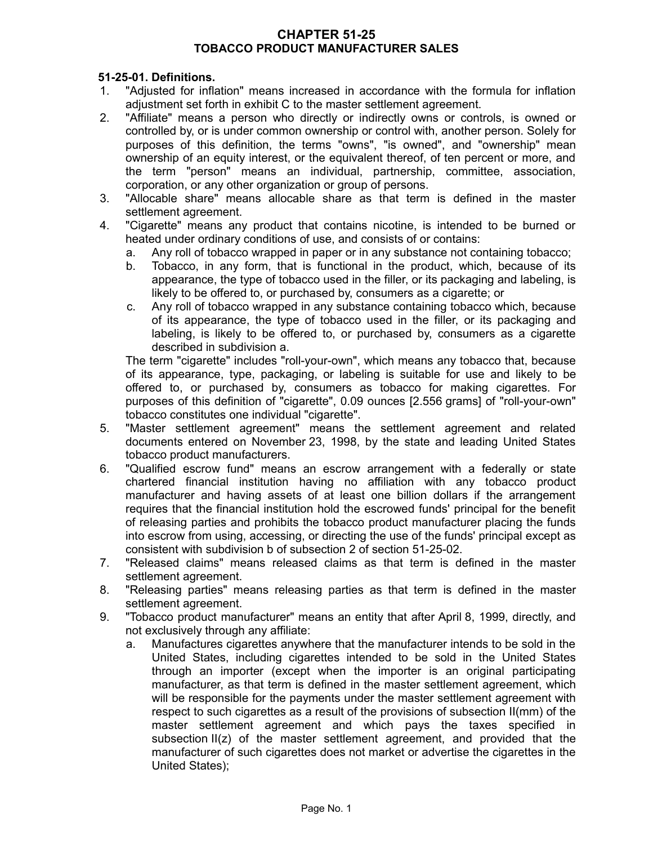## **CHAPTER 51-25 TOBACCO PRODUCT MANUFACTURER SALES**

## **51-25-01. Definitions.**

- 1. "Adjusted for inflation" means increased in accordance with the formula for inflation adjustment set forth in exhibit C to the master settlement agreement.
- 2. "Affiliate" means a person who directly or indirectly owns or controls, is owned or controlled by, or is under common ownership or control with, another person. Solely for purposes of this definition, the terms "owns", "is owned", and "ownership" mean ownership of an equity interest, or the equivalent thereof, of ten percent or more, and the term "person" means an individual, partnership, committee, association, corporation, or any other organization or group of persons.
- 3. "Allocable share" means allocable share as that term is defined in the master settlement agreement.
- 4. "Cigarette" means any product that contains nicotine, is intended to be burned or heated under ordinary conditions of use, and consists of or contains:
	- a. Any roll of tobacco wrapped in paper or in any substance not containing tobacco;
	- b. Tobacco, in any form, that is functional in the product, which, because of its appearance, the type of tobacco used in the filler, or its packaging and labeling, is likely to be offered to, or purchased by, consumers as a cigarette; or
	- c. Any roll of tobacco wrapped in any substance containing tobacco which, because of its appearance, the type of tobacco used in the filler, or its packaging and labeling, is likely to be offered to, or purchased by, consumers as a cigarette described in subdivision a.

The term "cigarette" includes "roll-your-own", which means any tobacco that, because of its appearance, type, packaging, or labeling is suitable for use and likely to be offered to, or purchased by, consumers as tobacco for making cigarettes. For purposes of this definition of "cigarette", 0.09 ounces [2.556 grams] of "roll-your-own" tobacco constitutes one individual "cigarette".

- 5. "Master settlement agreement" means the settlement agreement and related documents entered on November 23, 1998, by the state and leading United States tobacco product manufacturers.
- 6. "Qualified escrow fund" means an escrow arrangement with a federally or state chartered financial institution having no affiliation with any tobacco product manufacturer and having assets of at least one billion dollars if the arrangement requires that the financial institution hold the escrowed funds' principal for the benefit of releasing parties and prohibits the tobacco product manufacturer placing the funds into escrow from using, accessing, or directing the use of the funds' principal except as consistent with subdivision b of subsection 2 of section 51-25-02.
- 7. "Released claims" means released claims as that term is defined in the master settlement agreement.
- 8. "Releasing parties" means releasing parties as that term is defined in the master settlement agreement.
- 9. "Tobacco product manufacturer" means an entity that after April 8, 1999, directly, and not exclusively through any affiliate:
	- a. Manufactures cigarettes anywhere that the manufacturer intends to be sold in the United States, including cigarettes intended to be sold in the United States through an importer (except when the importer is an original participating manufacturer, as that term is defined in the master settlement agreement, which will be responsible for the payments under the master settlement agreement with respect to such cigarettes as a result of the provisions of subsection II(mm) of the master settlement agreement and which pays the taxes specified in subsection II(z) of the master settlement agreement, and provided that the manufacturer of such cigarettes does not market or advertise the cigarettes in the United States);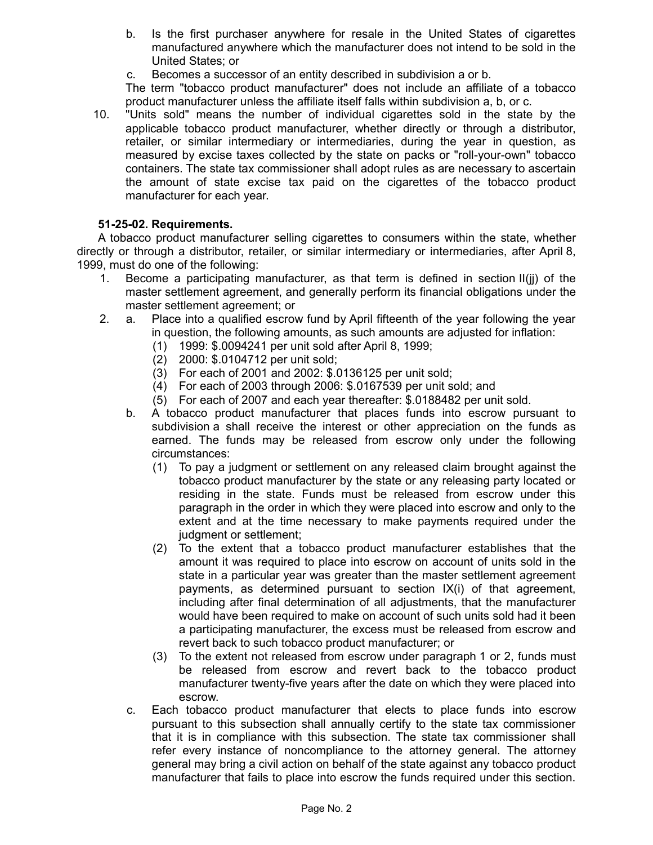- b. Is the first purchaser anywhere for resale in the United States of cigarettes manufactured anywhere which the manufacturer does not intend to be sold in the United States; or
- c. Becomes a successor of an entity described in subdivision a or b.

The term "tobacco product manufacturer" does not include an affiliate of a tobacco product manufacturer unless the affiliate itself falls within subdivision a, b, or c.

10. "Units sold" means the number of individual cigarettes sold in the state by the applicable tobacco product manufacturer, whether directly or through a distributor, retailer, or similar intermediary or intermediaries, during the year in question, as measured by excise taxes collected by the state on packs or "roll-your-own" tobacco containers. The state tax commissioner shall adopt rules as are necessary to ascertain the amount of state excise tax paid on the cigarettes of the tobacco product manufacturer for each year.

## **51-25-02. Requirements.**

A tobacco product manufacturer selling cigarettes to consumers within the state, whether directly or through a distributor, retailer, or similar intermediary or intermediaries, after April 8, 1999, must do one of the following:

- 1. Become a participating manufacturer, as that term is defined in section II(jj) of the master settlement agreement, and generally perform its financial obligations under the master settlement agreement; or
- 2. a. Place into a qualified escrow fund by April fifteenth of the year following the year in question, the following amounts, as such amounts are adjusted for inflation:
	- (1) 1999: \$.0094241 per unit sold after April 8, 1999;
	- (2) 2000: \$.0104712 per unit sold;
	- (3) For each of 2001 and 2002: \$.0136125 per unit sold;
	- (4) For each of 2003 through 2006: \$.0167539 per unit sold; and
	- (5) For each of 2007 and each year thereafter: \$.0188482 per unit sold.
	- b. A tobacco product manufacturer that places funds into escrow pursuant to subdivision a shall receive the interest or other appreciation on the funds as earned. The funds may be released from escrow only under the following circumstances:
		- (1) To pay a judgment or settlement on any released claim brought against the tobacco product manufacturer by the state or any releasing party located or residing in the state. Funds must be released from escrow under this paragraph in the order in which they were placed into escrow and only to the extent and at the time necessary to make payments required under the judgment or settlement;
		- (2) To the extent that a tobacco product manufacturer establishes that the amount it was required to place into escrow on account of units sold in the state in a particular year was greater than the master settlement agreement payments, as determined pursuant to section IX(i) of that agreement, including after final determination of all adjustments, that the manufacturer would have been required to make on account of such units sold had it been a participating manufacturer, the excess must be released from escrow and revert back to such tobacco product manufacturer; or
		- (3) To the extent not released from escrow under paragraph 1 or 2, funds must be released from escrow and revert back to the tobacco product manufacturer twenty-five years after the date on which they were placed into escrow.
	- c. Each tobacco product manufacturer that elects to place funds into escrow pursuant to this subsection shall annually certify to the state tax commissioner that it is in compliance with this subsection. The state tax commissioner shall refer every instance of noncompliance to the attorney general. The attorney general may bring a civil action on behalf of the state against any tobacco product manufacturer that fails to place into escrow the funds required under this section.